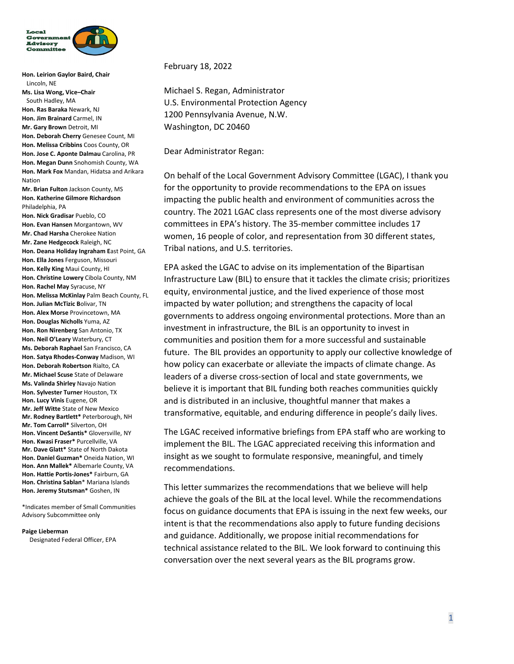

**Hon. Leirion Gaylor Baird, Chair**  Lincoln, NE **Ms. Lisa Wong, Vice–Chair** South Hadley, MA **Hon. Ras Baraka** Newark, NJ **Hon. Jim Brainard** Carmel, IN **Mr. Gary Brown** Detroit, MI **Hon. Deborah Cherry** Genesee Count, MI **Hon. Melissa Cribbins** Coos County, OR **Hon. Jose C. Aponte Dalmau** Carolina, PR **Hon. Megan Dunn** Snohomish County, WA **Hon. Mark Fox** Mandan, Hidatsa and Arikara Nation **Mr. Brian Fulton** Jackson County, MS **Hon. Katherine Gilmore Richardson** Philadelphia, PA **Hon. Nick Gradisar** Pueblo, CO **Hon. Evan Hansen** Morgantown, WV **Mr. Chad Harsha** Cherokee Nation **Mr. Zane Hedgecock** Raleigh, NC **Hon. Deana Holiday Ingraham E**ast Point, GA **Hon. Ella Jones** Ferguson, Missouri **Hon. Kelly King** Maui County, HI **Hon. Christine Lowery** Cibola County, NM **Hon. Rachel May** Syracuse, NY **Hon. Melissa McKinlay** Palm Beach County, FL **Hon. Julian McTizic B**olivar, TN **Hon. Alex Morse** Provincetown, MA **Hon. Douglas Nicholls** Yuma, AZ **Hon. Ron Nirenberg** San Antonio, TX **Hon. Neil O'Leary** Waterbury, CT **Ms. Deborah Raphael** San Francisco, CA **Hon. Satya Rhodes-Conway** Madison, WI

**Hon. Deborah Robertson** Rialto, CA **Mr. Michael Scuse** State of Delaware **Ms. Valinda Shirley** Navajo Nation **Hon. Sylvester Turner** Houston, TX **Hon. Lucy Vinis** Eugene, OR **Mr. Jeff Witte** State of New Mexico **Mr. Rodney Bartlett\*** Peterborough, NH **Mr. Tom Carroll\*** Silverton, OH **Hon. Vincent DeSantis\*** Gloversville, NY **Hon. Kwasi Fraser\*** Purcellville, VA **Mr. Dave Glatt\*** State of North Dakota **Hon. Daniel Guzman\*** Oneida Nation, WI **Hon. Ann Mallek\*** Albemarle County, VA **Hon. Hattie Portis-Jones\*** Fairburn, GA **Hon. Christina Sablan**\* Mariana Islands **Hon. Jeremy Stutsman\*** Goshen, IN

\*Indicates member of Small Communities Advisory Subcommittee only

**Paige Lieberman**

Designated Federal Officer, EPA

February 18, 2022

Michael S. Regan, Administrator U.S. Environmental Protection Agency 1200 Pennsylvania Avenue, N.W. Washington, DC 20460

Dear Administrator Regan:

On behalf of the Local Government Advisory Committee (LGAC), I thank you for the opportunity to provide recommendations to the EPA on issues impacting the public health and environment of communities across the country. The 2021 LGAC class represents one of the most diverse advisory committees in EPA's history. The 35-member committee includes 17 women, 16 people of color, and representation from 30 different states, Tribal nations, and U.S. territories.

EPA asked the LGAC to advise on its implementation of the Bipartisan Infrastructure Law (BIL) to ensure that it tackles the climate crisis; prioritizes equity, environmental justice, and the lived experience of those most impacted by water pollution; and strengthens the capacity of local governments to address ongoing environmental protections. More than an investment in infrastructure, the BIL is an opportunity to invest in communities and position them for a more successful and sustainable future. The BIL provides an opportunity to apply our collective knowledge of how policy can exacerbate or alleviate the impacts of climate change. As leaders of a diverse cross-section of local and state governments, we believe it is important that BIL funding both reaches communities quickly and is distributed in an inclusive, thoughtful manner that makes a transformative, equitable, and enduring difference in people's daily lives.

The LGAC received informative briefings from EPA staff who are working to implement the BIL. The LGAC appreciated receiving this information and insight as we sought to formulate responsive, meaningful, and timely recommendations.

This letter summarizes the recommendations that we believe will help achieve the goals of the BIL at the local level. While the recommendations focus on guidance documents that EPA is issuing in the next few weeks, our intent is that the recommendations also apply to future funding decisions and guidance. Additionally, we propose initial recommendations for technical assistance related to the BIL. We look forward to continuing this conversation over the next several years as the BIL programs grow.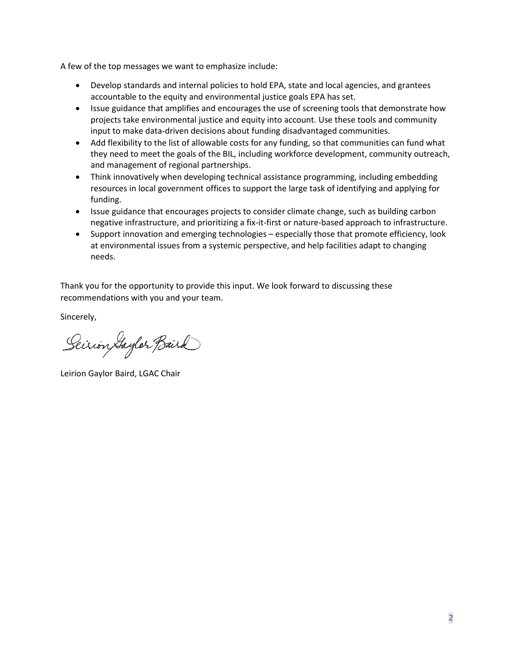A few of the top messages we want to emphasize include:

- Develop standards and internal policies to hold EPA, state and local agencies, and grantees accountable to the equity and environmental justice goals EPA has set.
- Issue guidance that amplifies and encourages the use of screening tools that demonstrate how projects take environmental justice and equity into account. Use these tools and community input to make data-driven decisions about funding disadvantaged communities.
- Add flexibility to the list of allowable costs for any funding, so that communities can fund what they need to meet the goals of the BIL, including workforce development, community outreach, and management of regional partnerships.
- Think innovatively when developing technical assistance programming, including embedding resources in local government offices to support the large task of identifying and applying for funding.
- Issue guidance that encourages projects to consider climate change, such as building carbon negative infrastructure, and prioritizing a fix-it-first or nature-based approach to infrastructure.
- Support innovation and emerging technologies especially those that promote efficiency, look at environmental issues from a systemic perspective, and help facilities adapt to changing needs.

Thank you for the opportunity to provide this input. We look forward to discussing these recommendations with you and your team.

Sincerely,

Seirion Gaylor Baird

Leirion Gaylor Baird, LGAC Chair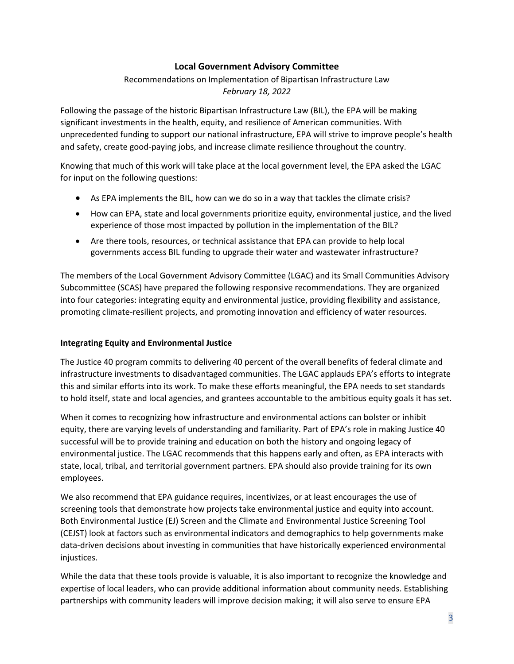## **Local Government Advisory Committee**

# Recommendations on Implementation of Bipartisan Infrastructure Law *February 18, 2022*

Following the passage of the historic Bipartisan Infrastructure Law (BIL), the EPA will be making significant investments in the health, equity, and resilience of American communities. With unprecedented funding to support our national infrastructure, EPA will strive to improve people's health and safety, create good-paying jobs, and increase climate resilience throughout the country.

Knowing that much of this work will take place at the local government level, the EPA asked the LGAC for input on the following questions:

- As EPA implements the BIL, how can we do so in a way that tackles the climate crisis?
- How can EPA, state and local governments prioritize equity, environmental justice, and the lived experience of those most impacted by pollution in the implementation of the BIL?
- Are there tools, resources, or technical assistance that EPA can provide to help local governments access BIL funding to upgrade their water and wastewater infrastructure?

The members of the Local Government Advisory Committee (LGAC) and its Small Communities Advisory Subcommittee (SCAS) have prepared the following responsive recommendations. They are organized into four categories: integrating equity and environmental justice, providing flexibility and assistance, promoting climate-resilient projects, and promoting innovation and efficiency of water resources.

#### **Integrating Equity and Environmental Justice**

The Justice 40 program commits to delivering 40 percent of the overall benefits of federal climate and infrastructure investments to disadvantaged communities. The LGAC applauds EPA's efforts to integrate this and similar efforts into its work. To make these efforts meaningful, the EPA needs to set standards to hold itself, state and local agencies, and grantees accountable to the ambitious equity goals it has set.

When it comes to recognizing how infrastructure and environmental actions can bolster or inhibit equity, there are varying levels of understanding and familiarity. Part of EPA's role in making Justice 40 successful will be to provide training and education on both the history and ongoing legacy of environmental justice. The LGAC recommends that this happens early and often, as EPA interacts with state, local, tribal, and territorial government partners. EPA should also provide training for its own employees.

We also recommend that EPA guidance requires, incentivizes, or at least encourages the use of screening tools that demonstrate how projects take environmental justice and equity into account. Both Environmental Justice (EJ) Screen and the Climate and Environmental Justice Screening Tool (CEJST) look at factors such as environmental indicators and demographics to help governments make data-driven decisions about investing in communities that have historically experienced environmental injustices.

While the data that these tools provide is valuable, it is also important to recognize the knowledge and expertise of local leaders, who can provide additional information about community needs. Establishing partnerships with community leaders will improve decision making; it will also serve to ensure EPA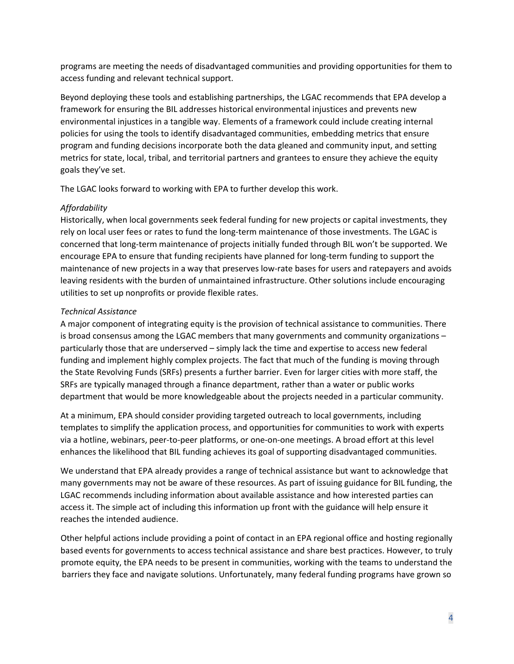programs are meeting the needs of disadvantaged communities and providing opportunities for them to access funding and relevant technical support.

Beyond deploying these tools and establishing partnerships, the LGAC recommends that EPA develop a framework for ensuring the BIL addresses historical environmental injustices and prevents new environmental injustices in a tangible way. Elements of a framework could include creating internal policies for using the tools to identify disadvantaged communities, embedding metrics that ensure program and funding decisions incorporate both the data gleaned and community input, and setting metrics for state, local, tribal, and territorial partners and grantees to ensure they achieve the equity goals they've set.

The LGAC looks forward to working with EPA to further develop this work.

## *Affordability*

Historically, when local governments seek federal funding for new projects or capital investments, they rely on local user fees or rates to fund the long-term maintenance of those investments. The LGAC is concerned that long-term maintenance of projects initially funded through BIL won't be supported. We encourage EPA to ensure that funding recipients have planned for long-term funding to support the maintenance of new projects in a way that preserves low-rate bases for users and ratepayers and avoids leaving residents with the burden of unmaintained infrastructure. Other solutions include encouraging utilities to set up nonprofits or provide flexible rates.

# *Technical Assistance*

A major component of integrating equity is the provision of technical assistance to communities. There is broad consensus among the LGAC members that many governments and community organizations – particularly those that are underserved – simply lack the time and expertise to access new federal funding and implement highly complex projects. The fact that much of the funding is moving through the State Revolving Funds (SRFs) presents a further barrier. Even for larger cities with more staff, the SRFs are typically managed through a finance department, rather than a water or public works department that would be more knowledgeable about the projects needed in a particular community.

At a minimum, EPA should consider providing targeted outreach to local governments, including templates to simplify the application process, and opportunities for communities to work with experts via a hotline, webinars, peer-to-peer platforms, or one-on-one meetings. A broad effort at this level enhances the likelihood that BIL funding achieves its goal of supporting disadvantaged communities.

We understand that EPA already provides a range of technical assistance but want to acknowledge that many governments may not be aware of these resources. As part of issuing guidance for BIL funding, the LGAC recommends including information about available assistance and how interested parties can access it. The simple act of including this information up front with the guidance will help ensure it reaches the intended audience.

Other helpful actions include providing a point of contact in an EPA regional office and hosting regionally based events for governments to access technical assistance and share best practices. However, to truly promote equity, the EPA needs to be present in communities, working with the teams to understand the barriers they face and navigate solutions. Unfortunately, many federal funding programs have grown so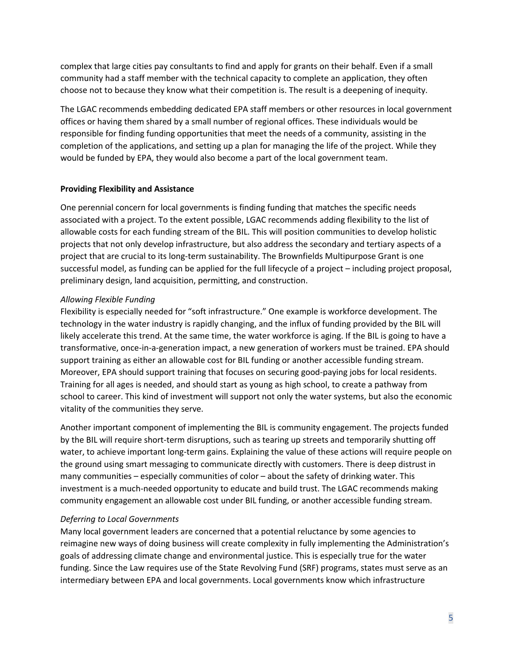complex that large cities pay consultants to find and apply for grants on their behalf. Even if a small community had a staff member with the technical capacity to complete an application, they often choose not to because they know what their competition is. The result is a deepening of inequity.

The LGAC recommends embedding dedicated EPA staff members or other resources in local government offices or having them shared by a small number of regional offices. These individuals would be responsible for finding funding opportunities that meet the needs of a community, assisting in the completion of the applications, and setting up a plan for managing the life of the project. While they would be funded by EPA, they would also become a part of the local government team.

#### **Providing Flexibility and Assistance**

One perennial concern for local governments is finding funding that matches the specific needs associated with a project. To the extent possible, LGAC recommends adding flexibility to the list of allowable costs for each funding stream of the BIL. This will position communities to develop holistic projects that not only develop infrastructure, but also address the secondary and tertiary aspects of a project that are crucial to its long-term sustainability. The Brownfields Multipurpose Grant is one successful model, as funding can be applied for the full lifecycle of a project – including project proposal, preliminary design, land acquisition, permitting, and construction.

#### *Allowing Flexible Funding*

Flexibility is especially needed for "soft infrastructure." One example is workforce development. The technology in the water industry is rapidly changing, and the influx of funding provided by the BIL will likely accelerate this trend. At the same time, the water workforce is aging. If the BIL is going to have a transformative, once-in-a-generation impact, a new generation of workers must be trained. EPA should support training as either an allowable cost for BIL funding or another accessible funding stream. Moreover, EPA should support training that focuses on securing good-paying jobs for local residents. Training for all ages is needed, and should start as young as high school, to create a pathway from school to career. This kind of investment will support not only the water systems, but also the economic vitality of the communities they serve.

Another important component of implementing the BIL is community engagement. The projects funded by the BIL will require short-term disruptions, such as tearing up streets and temporarily shutting off water, to achieve important long-term gains. Explaining the value of these actions will require people on the ground using smart messaging to communicate directly with customers. There is deep distrust in many communities – especially communities of color – about the safety of drinking water. This investment is a much-needed opportunity to educate and build trust. The LGAC recommends making community engagement an allowable cost under BIL funding, or another accessible funding stream.

#### *Deferring to Local Governments*

Many local government leaders are concerned that a potential reluctance by some agencies to reimagine new ways of doing business will create complexity in fully implementing the Administration's goals of addressing climate change and environmental justice. This is especially true for the water funding. Since the Law requires use of the State Revolving Fund (SRF) programs, states must serve as an intermediary between EPA and local governments. Local governments know which infrastructure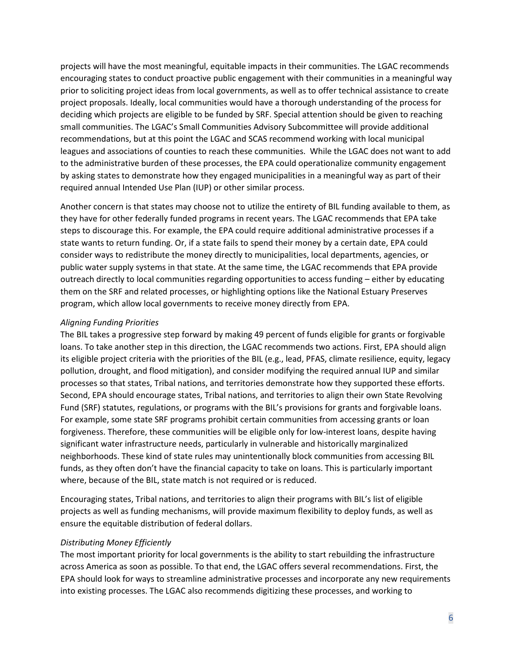projects will have the most meaningful, equitable impacts in their communities. The LGAC recommends encouraging states to conduct proactive public engagement with their communities in a meaningful way prior to soliciting project ideas from local governments, as well as to offer technical assistance to create project proposals. Ideally, local communities would have a thorough understanding of the process for deciding which projects are eligible to be funded by SRF. Special attention should be given to reaching small communities. The LGAC's Small Communities Advisory Subcommittee will provide additional recommendations, but at this point the LGAC and SCAS recommend working with local municipal leagues and associations of counties to reach these communities. While the LGAC does not want to add to the administrative burden of these processes, the EPA could operationalize community engagement by asking states to demonstrate how they engaged municipalities in a meaningful way as part of their required annual Intended Use Plan (IUP) or other similar process.

Another concern is that states may choose not to utilize the entirety of BIL funding available to them, as they have for other federally funded programs in recent years. The LGAC recommends that EPA take steps to discourage this. For example, the EPA could require additional administrative processes if a state wants to return funding. Or, if a state fails to spend their money by a certain date, EPA could consider ways to redistribute the money directly to municipalities, local departments, agencies, or public water supply systems in that state. At the same time, the LGAC recommends that EPA provide outreach directly to local communities regarding opportunities to access funding – either by educating them on the SRF and related processes, or highlighting options like the National Estuary Preserves program, which allow local governments to receive money directly from EPA.

## *Aligning Funding Priorities*

The BIL takes a progressive step forward by making 49 percent of funds eligible for grants or forgivable loans. To take another step in this direction, the LGAC recommends two actions. First, EPA should align its eligible project criteria with the priorities of the BIL (e.g., lead, PFAS, climate resilience, equity, legacy pollution, drought, and flood mitigation), and consider modifying the required annual IUP and similar processes so that states, Tribal nations, and territories demonstrate how they supported these efforts. Second, EPA should encourage states, Tribal nations, and territories to align their own State Revolving Fund (SRF) statutes, regulations, or programs with the BIL's provisions for grants and forgivable loans. For example, some state SRF programs prohibit certain communities from accessing grants or loan forgiveness. Therefore, these communities will be eligible only for low-interest loans, despite having significant water infrastructure needs, particularly in vulnerable and historically marginalized neighborhoods. These kind of state rules may unintentionally block communities from accessing BIL funds, as they often don't have the financial capacity to take on loans. This is particularly important where, because of the BIL, state match is not required or is reduced.

Encouraging states, Tribal nations, and territories to align their programs with BIL's list of eligible projects as well as funding mechanisms, will provide maximum flexibility to deploy funds, as well as ensure the equitable distribution of federal dollars.

#### *Distributing Money Efficiently*

The most important priority for local governments is the ability to start rebuilding the infrastructure across America as soon as possible. To that end, the LGAC offers several recommendations. First, the EPA should look for ways to streamline administrative processes and incorporate any new requirements into existing processes. The LGAC also recommends digitizing these processes, and working to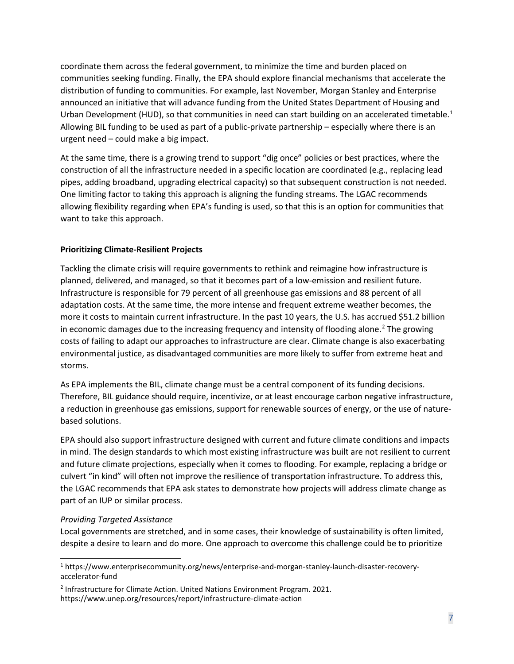coordinate them across the federal government, to minimize the time and burden placed on communities seeking funding. Finally, the EPA should explore financial mechanisms that accelerate the distribution of funding to communities. For example, last November, Morgan Stanley and Enterprise announced an initiative that will advance funding from the United States Department of Housing and Urban Development (HUD), so that communities in need can start building on an accelerated timetable.<sup>[1](#page-6-0)</sup> Allowing BIL funding to be used as part of a public-private partnership – especially where there is an urgent need – could make a big impact.

At the same time, there is a growing trend to support "dig once" policies or best practices, where the construction of all the infrastructure needed in a specific location are coordinated (e.g., replacing lead pipes, adding broadband, upgrading electrical capacity) so that subsequent construction is not needed. One limiting factor to taking this approach is aligning the funding streams. The LGAC recommends allowing flexibility regarding when EPA's funding is used, so that this is an option for communities that want to take this approach.

## **Prioritizing Climate-Resilient Projects**

Tackling the climate crisis will require governments to rethink and reimagine how infrastructure is planned, delivered, and managed, so that it becomes part of a low-emission and resilient future. Infrastructure is responsible for 79 percent of all greenhouse gas emissions and 88 percent of all adaptation costs. At the same time, the more intense and frequent extreme weather becomes, the more it costs to maintain current infrastructure. In the past 10 years, the U.S. has accrued \$51.2 billion in economic damages due to the increasing frequency and intensity of flooding alone.<sup>[2](#page-6-1)</sup> The growing costs of failing to adapt our approaches to infrastructure are clear. Climate change is also exacerbating environmental justice, as disadvantaged communities are more likely to suffer from extreme heat and storms.

As EPA implements the BIL, climate change must be a central component of its funding decisions. Therefore, BIL guidance should require, incentivize, or at least encourage carbon negative infrastructure, a reduction in greenhouse gas emissions, support for renewable sources of energy, or the use of naturebased solutions.

EPA should also support infrastructure designed with current and future climate conditions and impacts in mind. The design standards to which most existing infrastructure was built are not resilient to current and future climate projections, especially when it comes to flooding. For example, replacing a bridge or culvert "in kind" will often not improve the resilience of transportation infrastructure. To address this, the LGAC recommends that EPA ask states to demonstrate how projects will address climate change as part of an IUP or similar process.

#### *Providing Targeted Assistance*

Local governments are stretched, and in some cases, their knowledge of sustainability is often limited, despite a desire to learn and do more. One approach to overcome this challenge could be to prioritize

<span id="page-6-0"></span><sup>1</sup> https://www.enterprisecommunity.org/news/enterprise-and-morgan-stanley-launch-disaster-recoveryaccelerator-fund

<span id="page-6-1"></span><sup>&</sup>lt;sup>2</sup> Infrastructure for Climate Action. United Nations Environment Program. 2021. https://www.unep.org/resources/report/infrastructure-climate-action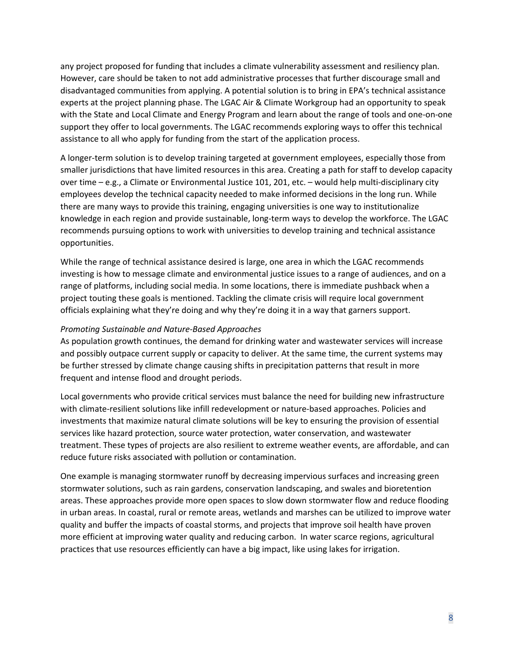any project proposed for funding that includes a climate vulnerability assessment and resiliency plan. However, care should be taken to not add administrative processes that further discourage small and disadvantaged communities from applying. A potential solution is to bring in EPA's technical assistance experts at the project planning phase. The LGAC Air & Climate Workgroup had an opportunity to speak with the State and Local Climate and Energy Program and learn about the range of tools and one-on-one support they offer to local governments. The LGAC recommends exploring ways to offer this technical assistance to all who apply for funding from the start of the application process.

A longer-term solution is to develop training targeted at government employees, especially those from smaller jurisdictions that have limited resources in this area. Creating a path for staff to develop capacity over time – e.g., a Climate or Environmental Justice 101, 201, etc. – would help multi-disciplinary city employees develop the technical capacity needed to make informed decisions in the long run. While there are many ways to provide this training, engaging universities is one way to institutionalize knowledge in each region and provide sustainable, long-term ways to develop the workforce. The LGAC recommends pursuing options to work with universities to develop training and technical assistance opportunities.

While the range of technical assistance desired is large, one area in which the LGAC recommends investing is how to message climate and environmental justice issues to a range of audiences, and on a range of platforms, including social media. In some locations, there is immediate pushback when a project touting these goals is mentioned. Tackling the climate crisis will require local government officials explaining what they're doing and why they're doing it in a way that garners support.

#### *Promoting Sustainable and Nature-Based Approaches*

As population growth continues, the demand for drinking water and wastewater services will increase and possibly outpace current supply or capacity to deliver. At the same time, the current systems may be further stressed by climate change causing shifts in precipitation patterns that result in more frequent and intense flood and drought periods.

Local governments who provide critical services must balance the need for building new infrastructure with climate-resilient solutions like infill redevelopment or nature-based approaches. Policies and investments that maximize natural climate solutions will be key to ensuring the provision of essential services like hazard protection, source water protection, water conservation, and wastewater treatment. These types of projects are also resilient to extreme weather events, are affordable, and can reduce future risks associated with pollution or contamination.

One example is managing stormwater runoff by decreasing impervious surfaces and increasing green stormwater solutions, such as rain gardens, conservation landscaping, and swales and bioretention areas. These approaches provide more open spaces to slow down stormwater flow and reduce flooding in urban areas. In coastal, rural or remote areas, wetlands and marshes can be utilized to improve water quality and buffer the impacts of coastal storms, and projects that improve soil health have proven more efficient at improving water quality and reducing carbon. In water scarce regions, agricultural practices that use resources efficiently can have a big impact, like using lakes for irrigation.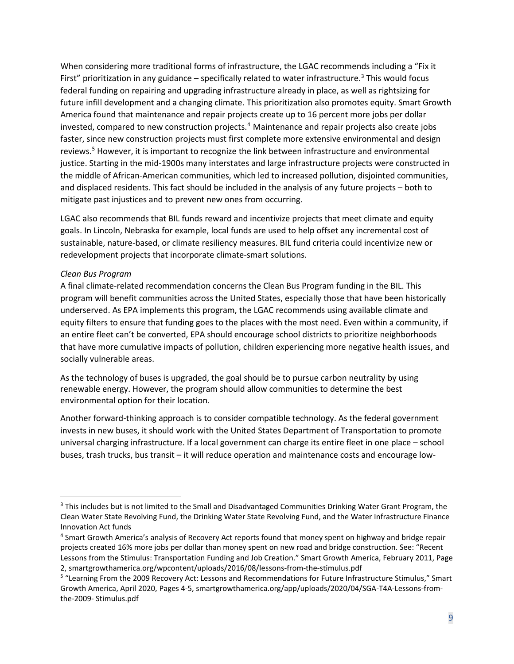When considering more traditional forms of infrastructure, the LGAC recommends including a "Fix it First" prioritization in any guidance – specifically related to water infrastructure.<sup>3</sup> This would focus federal funding on repairing and upgrading infrastructure already in place, as well as rightsizing for future infill development and a changing climate. This prioritization also promotes equity. Smart Growth America found that maintenance and repair projects create up to 16 percent more jobs per dollar invested, compared to new construction projects.[4](#page-8-1) Maintenance and repair projects also create jobs faster, since new construction projects must first complete more extensive environmental and design reviews.[5](#page-8-2) However, it is important to recognize the link between infrastructure and environmental justice. Starting in the mid-1900s many interstates and large infrastructure projects were constructed in the middle of African-American communities, which led to increased pollution, disjointed communities, and displaced residents. This fact should be included in the analysis of any future projects – both to mitigate past injustices and to prevent new ones from occurring.

LGAC also recommends that BIL funds reward and incentivize projects that meet climate and equity goals. In Lincoln, Nebraska for example, local funds are used to help offset any incremental cost of sustainable, nature-based, or climate resiliency measures. BIL fund criteria could incentivize new or redevelopment projects that incorporate climate-smart solutions.

#### *Clean Bus Program*

A final climate-related recommendation concerns the Clean Bus Program funding in the BIL. This program will benefit communities across the United States, especially those that have been historically underserved. As EPA implements this program, the LGAC recommends using available climate and equity filters to ensure that funding goes to the places with the most need. Even within a community, if an entire fleet can't be converted, EPA should encourage school districts to prioritize neighborhoods that have more cumulative impacts of pollution, children experiencing more negative health issues, and socially vulnerable areas.

As the technology of buses is upgraded, the goal should be to pursue carbon neutrality by using renewable energy. However, the program should allow communities to determine the best environmental option for their location.

Another forward-thinking approach is to consider compatible technology. As the federal government invests in new buses, it should work with the United States Department of Transportation to promote universal charging infrastructure. If a local government can charge its entire fleet in one place – school buses, trash trucks, bus transit – it will reduce operation and maintenance costs and encourage low-

<span id="page-8-0"></span><sup>&</sup>lt;sup>3</sup> This includes but is not limited to the Small and Disadvantaged Communities Drinking Water Grant Program, the Clean Water State Revolving Fund, the Drinking Water State Revolving Fund, and the Water Infrastructure Finance Innovation Act funds

<span id="page-8-1"></span><sup>4</sup> Smart Growth America's analysis of Recovery Act reports found that money spent on highway and bridge repair projects created 16% more jobs per dollar than money spent on new road and bridge construction. See: "Recent Lessons from the Stimulus: Transportation Funding and Job Creation." Smart Growth America, February 2011, Page 2, smartgrowthamerica.org/wpcontent/uploads/2016/08/lessons-from-the-stimulus.pdf

<span id="page-8-2"></span><sup>5</sup> "Learning From the 2009 Recovery Act: Lessons and Recommendations for Future Infrastructure Stimulus," Smart Growth America, April 2020, Pages 4-5, smartgrowthamerica.org/app/uploads/2020/04/SGA-T4A-Lessons-fromthe-2009- Stimulus.pdf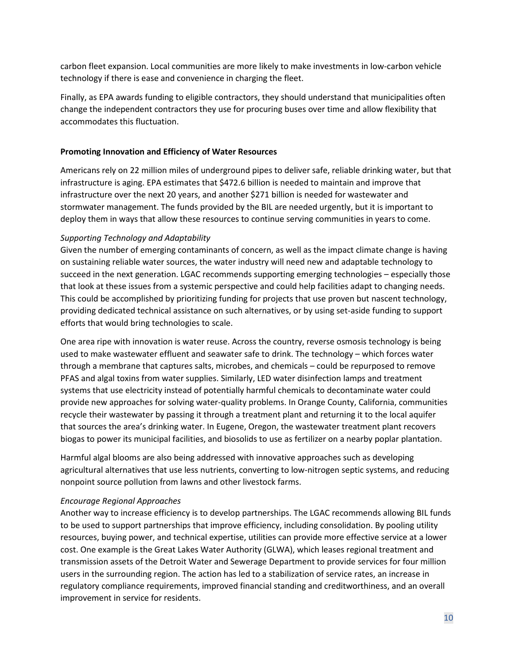carbon fleet expansion. Local communities are more likely to make investments in low-carbon vehicle technology if there is ease and convenience in charging the fleet.

Finally, as EPA awards funding to eligible contractors, they should understand that municipalities often change the independent contractors they use for procuring buses over time and allow flexibility that accommodates this fluctuation.

### **Promoting Innovation and Efficiency of Water Resources**

Americans rely on 22 million miles of underground pipes to deliver safe, reliable drinking water, but that infrastructure is aging. EPA estimates that \$472.6 billion is needed to maintain and improve that infrastructure over the next 20 years, and another \$271 billion is needed for wastewater and stormwater management. The funds provided by the BIL are needed urgently, but it is important to deploy them in ways that allow these resources to continue serving communities in years to come.

## *Supporting Technology and Adaptability*

Given the number of emerging contaminants of concern, as well as the impact climate change is having on sustaining reliable water sources, the water industry will need new and adaptable technology to succeed in the next generation. LGAC recommends supporting emerging technologies – especially those that look at these issues from a systemic perspective and could help facilities adapt to changing needs. This could be accomplished by prioritizing funding for projects that use proven but nascent technology, providing dedicated technical assistance on such alternatives, or by using set-aside funding to support efforts that would bring technologies to scale.

One area ripe with innovation is water reuse. Across the country, reverse osmosis technology is being used to make wastewater effluent and seawater safe to drink. The technology – which forces water through a membrane that captures salts, microbes, and chemicals – could be repurposed to remove PFAS and algal toxins from water supplies. Similarly, LED water disinfection lamps and treatment systems that use electricity instead of potentially harmful chemicals to decontaminate water could provide new approaches for solving water-quality problems. In Orange County, California, communities recycle their wastewater by passing it through a treatment plant and returning it to the local aquifer that sources the area's drinking water. In Eugene, Oregon, the wastewater treatment plant recovers biogas to power its municipal facilities, and biosolids to use as fertilizer on a nearby poplar plantation.

Harmful algal blooms are also being addressed with innovative approaches such as developing agricultural alternatives that use less nutrients, converting to low-nitrogen septic systems, and reducing nonpoint source pollution from lawns and other livestock farms.

#### *Encourage Regional Approaches*

Another way to increase efficiency is to develop partnerships. The LGAC recommends allowing BIL funds to be used to support partnerships that improve efficiency, including consolidation. By pooling utility resources, buying power, and technical expertise, utilities can provide more effective service at a lower cost. One example is the Great Lakes Water Authority (GLWA), which leases regional treatment and transmission assets of the Detroit Water and Sewerage Department to provide services for four million users in the surrounding region. The action has led to a stabilization of service rates, an increase in regulatory compliance requirements, improved financial standing and creditworthiness, and an overall improvement in service for residents.